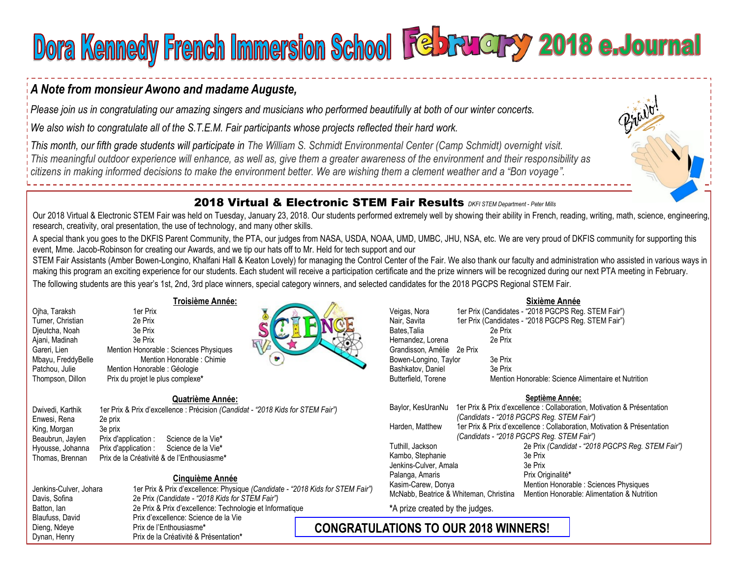# Dora Kennedy French Immersion School February 2018 e.Journal

## *A Note from monsieur Awono and madame Auguste,*

*Please join us in congratulating our amazing singers and musicians who performed beautifully at both of our winter concerts.* 

*We also wish to congratulate all of the S.T.E.M. Fair participants whose projects reflected their hard work.* 

*This month, our fifth grade students will participate in The William S. Schmidt Environmental Center (Camp Schmidt) overnight visit. This meaningful outdoor experience will enhance, as well as, give them a greater awareness of the environment and their responsibility as citizens in making informed decisions to make the environment better. We are wishing them a clement weather and a "Bon voyage".*

## 2018 Virtual & Electronic STEM Fair Results *DKFI STEM Department* - *Peter Mills*

Our 2018 Virtual & Electronic STEM Fair was held on Tuesday, January 23, 2018. Our students performed extremely well by showing their ability in French, reading, writing, math, science, engineering, research, creativity, oral presentation, the use of technology, and many other skills.

A special thank you goes to the DKFIS Parent Community, the PTA, our judges from NASA, USDA, NOAA, UMD, UMBC, JHU, NSA, etc. We are very proud of DKFIS community for supporting this event, Mme. Jacob-Robinson for creating our Awards, and we tip our hats off to Mr. Held for tech support and our

STEM Fair Assistants (Amber Bowen-Longino, Khalfani Hall & Keaton Lovely) for managing the Control Center of the Fair. We also thank our faculty and administration who assisted in various ways in making this program an exciting experience for our students. Each student will receive a participation certificate and the prize winners will be recognized during our next PTA meeting in February.

The following students are this year's 1st, 2nd, 3rd place winners, special category winners, and selected candidates for the 2018 PGCPS Regional STEM Fair.

| Ojha, Taraksh      |
|--------------------|
| Turner, Christian  |
| Dieutcha, Noah     |
| Ajani, Madinah     |
| Gareri, Lien       |
| Mbayu, FreddyBelle |
| Patchou, Julie     |
| Thompson, Dillon   |
|                    |

#### **Troisième Année:**

1er Prix 2e Prix 3e Prix 3e Prix

Mention Honorable : Géologie Prix du projet le plus complexe\*

Mention Honorable : Sciences Physiques Mention Honorable : Chimie



## Enwesi, Rena 2e prix King, Morgan 3e prix Beaubrun, Jaylen Prix d'application : Science de la Vie**\***  Hyousse, Johanna Prix d'application : Science de la Vie**\***

**Quatrième Année:**  Dwivedi, Karthik 1er Prix & Prix d'excellence : Précision *(Candidat - "2018 Kids for STEM Fair")*  Thomas, Brennan Prix de la Créativité & de l'Enthousiasme**\*** 

#### **Cinquième Année**

| Jenkins-Culver, Johara | 1er Prix & Prix d'excellence: Physique (Candidate - "2018 Kids for STEM Fair") |                 |  |  |  |  |  |
|------------------------|--------------------------------------------------------------------------------|-----------------|--|--|--|--|--|
| Davis, Sofina          | 2e Prix (Candidate - "2018 Kids for STEM Fair")                                |                 |  |  |  |  |  |
| Batton, lan            | 2e Prix & Prix d'excellence: Technologie et Informatique                       |                 |  |  |  |  |  |
| Blaufuss. David        | Prix d'excellence: Science de la Vie                                           |                 |  |  |  |  |  |
| Dieng, Ndeye           | Prix de l'Enthousiasme*                                                        | <b>CONGRATU</b> |  |  |  |  |  |
| Dynan, Henry           | Prix de la Créativité & Présentation*                                          |                 |  |  |  |  |  |

#### Veigas, Nora 1er Prix (Candidates - "2018 PGCPS Reg. STEM Fair") Nair, Savita 1er Prix (Candidates - "2018 PGCPS Reg. STEM Fair") Bates,Talia<br>
Hernandez, Lorena<br>
2e Prix Hernandez, Lorena Grandisson, Amélie 2e Prix Bowen-Longino, Taylor 3e Prix Bashkatov, Daniel 3e Prix Butterfield, Torene Mention Honorable: Science Alimentaire et Nutrition

#### **Septième Année:**

**Sixième Année** 

| Baylor, KesUranNu                      | 1er Prix & Prix d'excellence : Collaboration, Motivation & Présentation |                                                  |  |  |  |  |
|----------------------------------------|-------------------------------------------------------------------------|--------------------------------------------------|--|--|--|--|
|                                        |                                                                         | (Candidats - "2018 PGCPS Reg. STEM Fair")        |  |  |  |  |
| Harden, Matthew                        | 1er Prix & Prix d'excellence : Collaboration, Motivation & Présentation |                                                  |  |  |  |  |
|                                        |                                                                         | (Candidats - "2018 PGCPS Reg. STEM Fair")        |  |  |  |  |
| Tuthill, Jackson                       |                                                                         | 2e Prix (Candidat - "2018 PGCPS Reg. STEM Fair") |  |  |  |  |
| Kambo, Stephanie                       |                                                                         | 3e Prix                                          |  |  |  |  |
| Jenkins-Culver, Amala                  |                                                                         | 3e Prix                                          |  |  |  |  |
| Palanga, Amaris                        |                                                                         | Prix Originalité*                                |  |  |  |  |
| Kasim-Carew, Donya                     |                                                                         | Mention Honorable: Sciences Physiques            |  |  |  |  |
| McNabb, Beatrice & Whiteman, Christina |                                                                         | Mention Honorable: Alimentation & Nutrition      |  |  |  |  |

**\***A prize created by the judges.

# **CONGRATULATIONS TO OUR 2018 WINNERS!**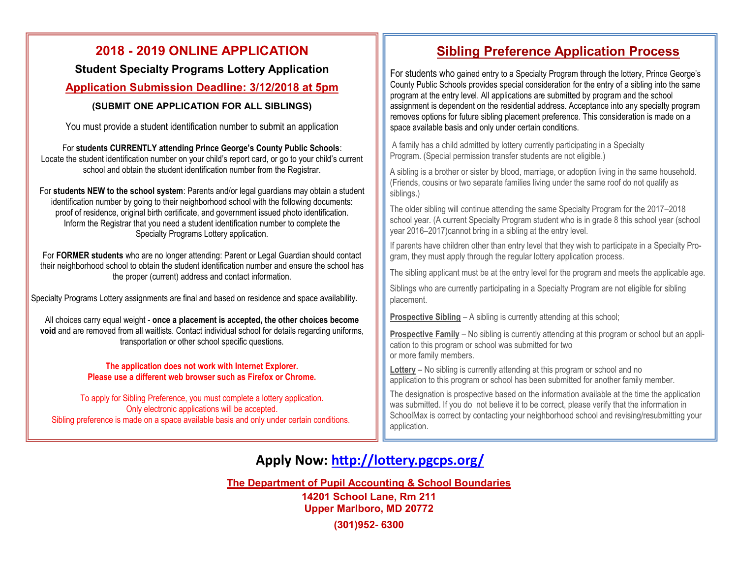## **2018 - 2019 ONLINE APPLICATION**

**Student Specialty Programs Lottery Application**

## **Application Submission Deadline: 3/12/2018 at 5pm**

## **(SUBMIT ONE APPLICATION FOR ALL SIBLINGS)**

You must provide a student identification number to submit an application

For **students CURRENTLY attending Prince George's County Public Schools**: Locate the student identification number on your child's report card, or go to your child's current school and obtain the student identification number from the Registrar.

For **students NEW to the school system**: Parents and/or legal guardians may obtain a student identification number by going to their neighborhood school with the following documents: proof of residence, original birth certificate, and government issued photo identification. Inform the Registrar that you need a student identification number to complete the Specialty Programs Lottery application.

For **FORMER students** who are no longer attending: Parent or Legal Guardian should contact their neighborhood school to obtain the student identification number and ensure the school has the proper (current) address and contact information.

Specialty Programs Lottery assignments are final and based on residence and space availability.

All choices carry equal weight - **once a placement is accepted, the other choices become void** and are removed from all waitlists. Contact individual school for details regarding uniforms, transportation or other school specific questions.

#### **The application does not work with Internet Explorer. Please use a different web browser such as Firefox or Chrome.**

To apply for Sibling Preference, you must complete a lottery application. Only electronic applications will be accepted. Sibling preference is made on a space available basis and only under certain conditions.

# **Sibling Preference Application Process**

For students who gained entry to a Specialty Program through the lottery, Prince George's County Public Schools provides special consideration for the entry of a sibling into the same program at the entry level. All applications are submitted by program and the school assignment is dependent on the residential address. Acceptance into any specialty program removes options for future sibling placement preference. This consideration is made on a space available basis and only under certain conditions.

A family has a child admitted by lottery currently participating in a Specialty Program. (Special permission transfer students are not eligible.)

A sibling is a brother or sister by blood, marriage, or adoption living in the same household. (Friends, cousins or two separate families living under the same roof do not qualify as siblings.)

The older sibling will continue attending the same Specialty Program for the 2017–2018 school year. (A current Specialty Program student who is in grade 8 this school year (school year 2016–2017)cannot bring in a sibling at the entry level.

If parents have children other than entry level that they wish to participate in a Specialty Program, they must apply through the regular lottery application process.

The sibling applicant must be at the entry level for the program and meets the applicable age.

Siblings who are currently participating in a Specialty Program are not eligible for sibling placement.

**Prospective Sibling** – A sibling is currently attending at this school;

**Prospective Family** – No sibling is currently attending at this program or school but an application to this program or school was submitted for two or more family members.

**Lottery** – No sibling is currently attending at this program or school and no application to this program or school has been submitted for another family member.

The designation is prospective based on the information available at the time the application was submitted. If you do not believe it to be correct, please verify that the information in SchoolMax is correct by contacting your neighborhood school and revising/resubmitting your application.

# **Apply Now: <http://lottery.pgcps.org/>**

**The Department of Pupil Accounting & School Boundaries**

**14201 School Lane, Rm 211 Upper Marlboro, MD 20772**

**(301)952- 6300**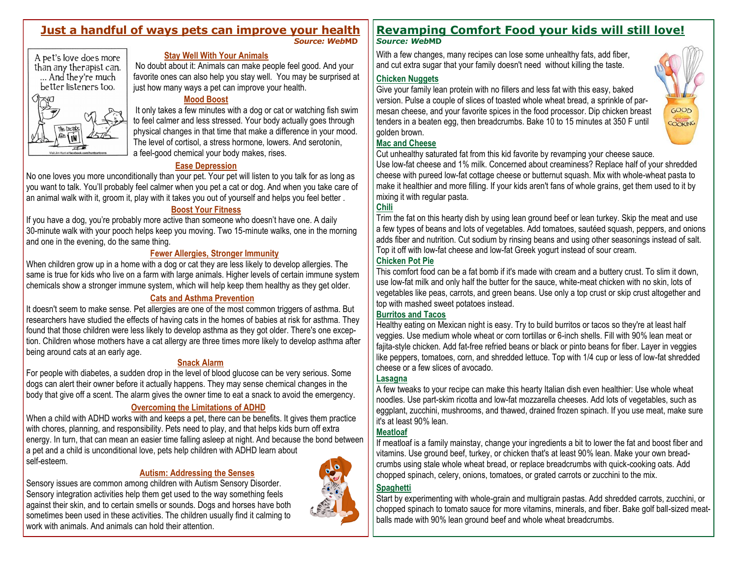# **Just a handful of ways pets can improve your health**

*Source: Web***MD**



#### **Stay Well With Your Animals**

No doubt about it: Animals can make people feel good. And your favorite ones can also help you stay well. You may be surprised at just how many ways a pet can improve your health.

#### **Mood Boost**

It only takes a few minutes with a dog or cat or watching fish swim to feel calmer and less stressed. Your body actually goes through physical changes in that time that make a difference in your mood. The level of cortisol, a stress hormone, lowers. And serotonin, a feel-good chemical your body makes, rises.

#### **Ease Depression**

No one loves you more unconditionally than your pet. Your pet will listen to you talk for as long as you want to talk. You'll probably feel calmer when you pet a cat or dog. And when you take care of an animal walk with it, groom it, play with it takes you out of yourself and helps you feel better .

#### **Boost Your Fitness**

If you have a dog, you're probably more active than someone who doesn't have one. A daily 30-minute walk with your pooch helps keep you moving. Two 15-minute walks, one in the morning and one in the evening, do the same thing.

#### **Fewer Allergies, Stronger Immunity**

When children grow up in a home with a dog or cat they are less likely to develop allergies. The same is true for kids who live on a farm with large animals. Higher levels of certain immune system chemicals show a stronger immune system, which will help keep them healthy as they get older.

#### **Cats and Asthma Prevention**

It doesn't seem to make sense. Pet allergies are one of the most common triggers of asthma. But researchers have studied the effects of having cats in the homes of babies at risk for asthma. They found that those children were less likely to develop asthma as they got older. There's one exception. Children whose mothers have a cat allergy are three times more likely to develop asthma after being around cats at an early age.

#### **Snack Alarm**

For people with diabetes, a sudden drop in the level of blood glucose can be very serious. Some dogs can alert their owner before it actually happens. They may sense chemical changes in the body that give off a scent. The alarm gives the owner time to eat a snack to avoid the emergency.

## **Overcoming the Limitations of ADHD**

When a child with ADHD works with and keeps a pet, there can be benefits. It gives them practice with chores, planning, and responsibility. Pets need to play, and that helps kids burn off extra energy. In turn, that can mean an easier time falling asleep at night. And because the bond between a pet and a child is unconditional love, pets help children with ADHD learn about self-esteem.

## **Autism: Addressing the Senses**

Sensory issues are common among children with Autism Sensory Disorder. Sensory integration activities help them get used to the way something feels against their skin, and to certain smells or sounds. Dogs and horses have both sometimes been used in these activities. The children usually find it calming to work with animals. And animals can hold their attention.



# **Revamping Comfort Food your kids will still love!**

*Source: Web***MD**

With a few changes, many recipes can lose some unhealthy fats, add fiber, and cut extra sugar that your family doesn't need without killing the taste.

#### **Chicken Nuggets**

Give your family lean protein with no fillers and less fat with this easy, baked version. Pulse a couple of slices of toasted whole wheat bread, a sprinkle of parmesan cheese, and your favorite spices in the food processor. Dip chicken breast tenders in a beaten egg, then breadcrumbs. Bake 10 to 15 minutes at 350 F until golden brown.



#### **Mac and Cheese**

Cut unhealthy saturated fat from this kid favorite by revamping your cheese sauce.

Use low-fat cheese and 1% milk. Concerned about creaminess? Replace half of your shredded cheese with pureed low-fat cottage cheese or butternut squash. Mix with whole-wheat pasta to make it healthier and more filling. If your kids aren't fans of whole grains, get them used to it by mixing it with regular pasta.

## **Chili**

Trim the fat on this hearty dish by using lean ground beef or lean turkey. Skip the meat and use a few types of beans and lots of vegetables. Add tomatoes, sautéed squash, peppers, and onions adds fiber and nutrition. Cut sodium by rinsing beans and using other seasonings instead of salt. Top it off with low-fat cheese and low-fat Greek yogurt instead of sour cream.

#### **Chicken Pot Pie**

This comfort food can be a fat bomb if it's made with cream and a buttery crust. To slim it down, use low-fat milk and only half the butter for the sauce, white-meat chicken with no skin, lots of vegetables like peas, carrots, and green beans. Use only a top crust or skip crust altogether and top with mashed sweet potatoes instead.

#### **Burritos and Tacos**

Healthy eating on Mexican night is easy. Try to build burritos or tacos so they're at least half veggies. Use medium whole wheat or corn tortillas or 6-inch shells. Fill with 90% lean meat or fajita-style chicken. Add fat-free refried beans or black or pinto beans for fiber. Layer in veggies like peppers, tomatoes, corn, and shredded lettuce. Top with 1/4 cup or less of low-fat shredded cheese or a few slices of avocado.

## **Lasagna**

A few tweaks to your recipe can make this hearty Italian dish even healthier: Use whole wheat noodles. Use part-skim ricotta and low-fat mozzarella cheeses. Add lots of vegetables, such as eggplant, zucchini, mushrooms, and thawed, drained frozen spinach. If you use meat, make sure it's at least 90% lean.

## **Meatloaf**

If meatloaf is a family mainstay, change your ingredients a bit to lower the fat and boost fiber and vitamins. Use ground beef, turkey, or chicken that's at least 90% lean. Make your own breadcrumbs using stale whole wheat bread, or replace breadcrumbs with quick-cooking oats. Add chopped spinach, celery, onions, tomatoes, or grated carrots or zucchini to the mix.

## **Spaghetti**

Start by experimenting with whole-grain and multigrain pastas. Add shredded carrots, zucchini, or chopped spinach to tomato sauce for more vitamins, minerals, and fiber. Bake golf ball-sized meatballs made with 90% lean ground beef and whole wheat breadcrumbs.